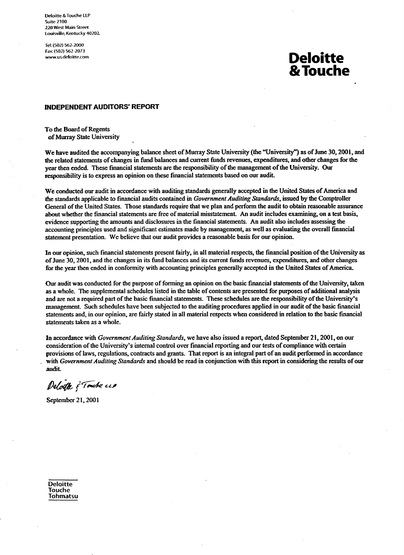Deloitte & Touche LLP **Suite 2100** 220 West Main Street Louisville, Kentucky 40202.

Tel: (502) 562-2000 Fax: (502) 562-2073 www.us.deloitte.com

# **Deloitte** & Touche

# **INDEPENDENT AUDITORS' REPORT**

To the Board of Regents of Murray State University

We have audited the accompanying balance sheet of Murray State University (the "University") as of June 30, 2001, and the related statements of changes in fund balances and current funds revenues, expenditures, and other changes for the year then ended. These financial statements are the responsibility of the management of the University. Our responsibility is to express an opinion on these financial statements based on our audit.

We conducted our audit in accordance with auditing standards generally accepted in the United States of America and the standards applicable to financial audits contained in Government Auditing Standards, issued by the Comptroller General of the United States. Those standards require that we plan and perform the audit to obtain reasonable assurance about whether the financial statements are free of material misstatement. An audit includes examining, on a test basis, evidence supporting the amounts and disclosures in the financial statements. An audit also includes assessing the accounting principles used and significant estimates made by management, as well as evaluating the overall financial statement presentation. We believe that our audit provides a reasonable basis for our opinion.

In our opinion, such financial statements present fairly, in all material respects, the financial position of the University as of June 30, 2001, and the changes in its fund balances and its current funds revenues, expenditures, and other changes for the year then ended in conformity with accounting principles generally accepted in the United States of America.

Our audit was conducted for the purpose of forming an opinion on the basic financial statements of the University, taken as a whole. The supplemental schedules listed in the table of contents are presented for purposes of additional analysis and are not a required part of the basic financial statements. These schedules are the responsibility of the University's management. Such schedules have been subjected to the auditing procedures applied in our audit of the basic financial statements and, in our opinion, are fairly stated in all material respects when considered in relation to the basic financial statements taken as a whole.

In accordance with Government Auditing Standards, we have also issued a report, dated September 21, 2001, on our consideration of the University's internal control over financial reporting and our tests of compliance with certain provisions of laws, regulations, contracts and grants. That report is an integral part of an audit performed in accordance with Government Auditing Standards and should be read in conjunction with this report in considering the results of our audit.

Deloitte ș<sup>e g</sup>oudre ccp

September 21, 2001

**Deloitte Touche** Tohmatsu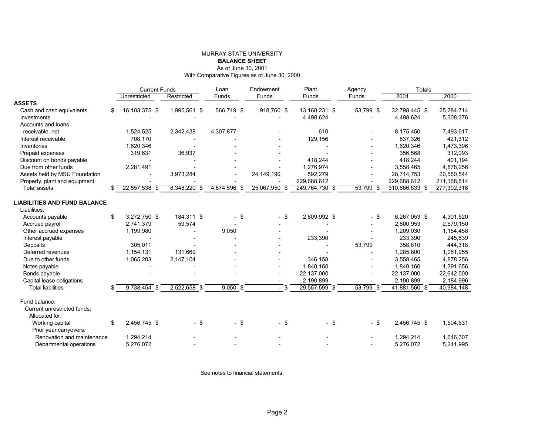#### MURRAY STATE UNIVERSITY**BALANCE SHEET**As of June 30, 2001

With Comparative Figures as of June 30, 2000

|                                                     | <b>Current Funds</b> |                |        | Endowment<br>Loan |                                | Plant           | Agency                         | <b>Totals</b>  |             |  |
|-----------------------------------------------------|----------------------|----------------|--------|-------------------|--------------------------------|-----------------|--------------------------------|----------------|-------------|--|
|                                                     | Unrestricted         | Restricted     |        | Funds             | Funds                          | Funds           | Funds                          | 2001           | 2000        |  |
| <b>ASSETS</b>                                       |                      |                |        |                   |                                |                 |                                |                |             |  |
| Cash and cash equivalents                           | \$<br>16,103,375 \$  | 1,995,561 \$   |        | 566,719 \$        | 918,760 \$                     | 13,160,231 \$   | 53,799 \$                      | 32,798,445 \$  | 25,284,714  |  |
| Investments                                         |                      |                |        |                   |                                | 4,498,624       |                                | 4,498,624      | 5,308,376   |  |
| Accounts and loans                                  |                      |                |        |                   |                                |                 |                                |                |             |  |
| receivable, net                                     | 1,524,525            | 2,342,438      |        | 4,307,877         |                                | 610             |                                | 8,175,450      | 7,493,617   |  |
| Interest receivable                                 | 708,170              |                |        |                   |                                | 129,156         |                                | 837,326        | 421,312     |  |
| Inventories                                         | 1,620,346            |                |        |                   |                                |                 |                                | 1,620,346      | 1,473,396   |  |
| Prepaid expenses                                    | 319,631              | 36,937         |        |                   |                                |                 |                                | 356.568        | 312,093     |  |
| Discount on bonds payable                           |                      |                |        |                   |                                | 418,244         |                                | 418,244        | 401,194     |  |
| Due from other funds                                | 2,281,491            |                |        |                   |                                | 1.276.974       |                                | 3.558.465      | 4.878.256   |  |
| Assets held by MSU Foundation                       |                      | 3,973,284      |        |                   | 24, 149, 190                   | 592,279         | $\overline{\phantom{a}}$       | 28,714,753     | 20,560,544  |  |
| Property, plant and equipment                       |                      |                |        |                   |                                | 229,688,612     |                                | 229,688,612    | 211,168,814 |  |
| <b>Total assets</b>                                 | 22,557,538 \$        | $8,348,220$ \$ |        | 4,874,596 \$      | 25,067,950 \$                  | 249,764,730 \$  | $53,799$ \$                    | 310,666,833 \$ | 277,302,316 |  |
|                                                     |                      |                |        |                   |                                |                 |                                |                |             |  |
| <b>LIABILITIES AND FUND BALANCE</b><br>Liabilities: |                      |                |        |                   |                                |                 |                                |                |             |  |
|                                                     | \$<br>3.272.750 \$   |                |        |                   |                                |                 |                                | 6.267.053 \$   |             |  |
| Accounts payable                                    |                      | 184,311 \$     |        | \$                | \$<br>$\overline{\phantom{0}}$ | 2,809,992 \$    | \$<br>$\blacksquare$           |                | 4,301,520   |  |
| Accrued payroll                                     | 2,741,379            | 59,574         |        |                   |                                |                 |                                | 2,800,953      | 2,679,150   |  |
| Other accrued expenses                              | 1,199,980            |                |        | 9,050             |                                |                 |                                | 1.209.030      | 1,154,458   |  |
| Interest payable                                    |                      |                |        |                   |                                | 233,390         |                                | 233,390        | 245,839     |  |
| Deposits                                            | 305.011              |                |        |                   |                                |                 | 53,799                         | 358,810        | 444,318     |  |
| Deferred revenues                                   | 1,154,131            | 131.669        |        |                   |                                |                 |                                | 1,285,800      | 1,061,955   |  |
| Due to other funds                                  | 1,065,203            | 2,147,104      |        |                   |                                | 346,158         |                                | 3,558,465      | 4,878,256   |  |
| Notes payable                                       |                      |                |        |                   |                                | 1,840,160       |                                | 1,840,160      | 1,391,656   |  |
| Bonds payable                                       |                      |                |        |                   |                                | 22,137,000      |                                | 22,137,000     | 22,642,000  |  |
| Capital lease obligations                           |                      |                |        |                   |                                | 2,190,899       |                                | 2,190,899      | 2,184,996   |  |
| <b>Total liabilities</b>                            | \$<br>$9,738,454$ \$ | $2,522,658$ \$ |        | $9,050$ \$        | <b>\$</b><br>$\sim$            | $29,557,599$ \$ | $53,799$ \$                    | 41,881,560 \$  | 40,984,148  |  |
| Fund balance:                                       |                      |                |        |                   |                                |                 |                                |                |             |  |
| Current unrestricted funds:                         |                      |                |        |                   |                                |                 |                                |                |             |  |
| Allocated for:                                      |                      |                |        |                   |                                |                 |                                |                |             |  |
| Working capital                                     | \$<br>2,456,745 \$   |                | $-$ \$ | $-$ \$            | \$<br>$\blacksquare$           | $-$ \$          | \$<br>$\overline{\phantom{0}}$ | 2,456,745 \$   | 1,504,631   |  |
| Prior year carryovers:                              |                      |                |        |                   |                                |                 |                                |                |             |  |
| Renovation and maintenance                          | 1,294,214            |                |        |                   |                                |                 |                                | 1,294,214      | 1,646,307   |  |
| Departmental operations                             | 5.276.072            |                |        |                   |                                |                 |                                | 5.276.072      | 5.241.995   |  |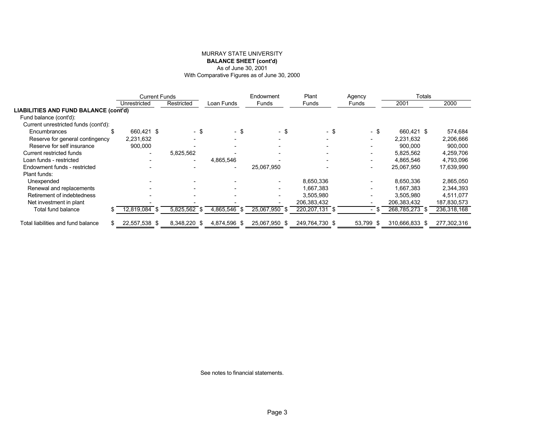#### MURRAY STATE UNIVERSITY **BALANCE SHEET (cont'd)** As of June 30, 2001 With Comparative Figures as of June 30, 2000

|                                              | <b>Current Funds</b>     |                          |                          | Endowment                | Plant                    | Agency                   | <b>Totals</b>  |             |  |
|----------------------------------------------|--------------------------|--------------------------|--------------------------|--------------------------|--------------------------|--------------------------|----------------|-------------|--|
|                                              | Unrestricted             | Restricted               | Loan Funds               | Funds                    | Funds                    | Funds                    | 2001           | 2000        |  |
| <b>LIABILITIES AND FUND BALANCE (cont'd)</b> |                          |                          |                          |                          |                          |                          |                |             |  |
| Fund balance (cont'd):                       |                          |                          |                          |                          |                          |                          |                |             |  |
| Current unrestricted funds (cont'd):         |                          |                          |                          |                          |                          |                          |                |             |  |
| Encumbrances                                 | 660.421 \$               | - \$                     | $-$ \$                   | - \$                     | $-$ \$                   | - \$                     | 660.421 \$     | 574,684     |  |
| Reserve for general contingency              | 2,231,632                |                          |                          | $\overline{\phantom{a}}$ | $\overline{\phantom{a}}$ | $\overline{\phantom{0}}$ | 2,231,632      | 2,206,666   |  |
| Reserve for self insurance                   | 900,000                  |                          |                          |                          |                          |                          | 900.000        | 900,000     |  |
| Current restricted funds                     | $\overline{\phantom{a}}$ | 5,825,562                |                          | $\overline{\phantom{a}}$ | $\overline{\phantom{a}}$ | $\overline{\phantom{a}}$ | 5.825.562      | 4,259,706   |  |
| Loan funds - restricted                      |                          | $\overline{\phantom{a}}$ | 4,865,546                |                          | $\overline{\phantom{0}}$ | $\overline{\phantom{a}}$ | 4.865.546      | 4,793,096   |  |
| Endowment funds - restricted                 |                          |                          | $\overline{\phantom{a}}$ | 25,067,950               |                          | $\overline{\phantom{0}}$ | 25,067,950     | 17,639,990  |  |
| Plant funds:                                 |                          |                          |                          |                          |                          |                          |                |             |  |
| Unexpended                                   |                          |                          |                          |                          | 8,650,336                |                          | 8.650.336      | 2,865,050   |  |
| Renewal and replacements                     |                          | $\overline{\phantom{a}}$ |                          | $\overline{\phantom{0}}$ | 1,667,383                | $\overline{\phantom{a}}$ | .667.383       | 2,344,393   |  |
| Retirement of indebtedness                   |                          | $\overline{\phantom{0}}$ |                          | $\overline{\phantom{a}}$ | 3,505,980                | $\overline{\phantom{a}}$ | 3,505,980      | 4,511,077   |  |
| Net investment in plant                      |                          |                          |                          |                          | 206,383,432              |                          | 206,383,432    | 187,830,573 |  |
| Total fund balance                           | 12,819,084<br>- \$       | 5,825,562<br>. ა         | 4,865,546<br>- \$        | 25,067,950 \$            | 220, 207, 131 \$         |                          | 268,785,273 \$ | 236,318,168 |  |
|                                              |                          |                          |                          |                          |                          |                          |                |             |  |
| Total liabilities and fund balance           | 22,557,538 \$            | 8,348,220 \$             | 4,874,596 \$             | 25,067,950 \$            | 249.764.730 \$           | 53,799 \$                | 310,666,833 \$ | 277,302,316 |  |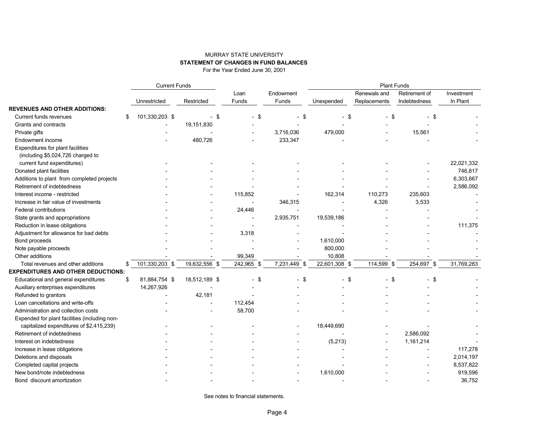### MURRAY STATE UNIVERSITY **STATEMENT OF CHANGES IN FUND BALANCES**

For the Year Ended June 30, 2001

|                                               | <b>Current Funds</b> |                                |                |              | <b>Plant Funds</b> |               |               |            |  |  |
|-----------------------------------------------|----------------------|--------------------------------|----------------|--------------|--------------------|---------------|---------------|------------|--|--|
|                                               |                      |                                | Loan           | Endowment    |                    | Renewals and  | Retirement of | Investment |  |  |
|                                               | Unrestricted         | Restricted                     | Funds          | Funds        | Unexpended         | Replacements  | Indebtedness  | In Plant   |  |  |
| <b>REVENUES AND OTHER ADDITIONS:</b>          |                      |                                |                |              |                    |               |               |            |  |  |
| Current funds revenues                        | \$<br>101,330,203 \$ | \$<br>$\overline{\phantom{0}}$ | \$             | -\$          | - \$               | - \$          | \$            |            |  |  |
| Grants and contracts                          |                      | 19,151,830                     |                |              |                    |               |               |            |  |  |
| Private gifts                                 |                      |                                |                | 3,716,036    | 479,000            |               | 15,561        |            |  |  |
| Endowment income                              |                      | 480,726                        |                | 233,347      |                    |               |               |            |  |  |
| Expenditures for plant facilities             |                      |                                |                |              |                    |               |               |            |  |  |
| (including \$5,024,726 charged to             |                      |                                |                |              |                    |               |               |            |  |  |
| current fund expenditures)                    |                      |                                |                |              |                    |               |               | 22,021,332 |  |  |
| Donated plant facilities                      |                      |                                |                |              |                    |               |               | 746,817    |  |  |
| Additions to plant from completed projects    |                      |                                |                |              |                    |               |               | 6,303,667  |  |  |
| Retirement of indebtedness                    |                      |                                |                |              |                    |               |               | 2,586,092  |  |  |
| Interest income - restricted                  |                      |                                | 115,852        |              | 162,314            | 110,273       | 235,603       |            |  |  |
| Increase in fair value of investments         |                      |                                |                | 346,315      |                    | 4,326         | 3,533         |            |  |  |
| Federal contributions                         |                      |                                | 24,446         |              |                    |               |               |            |  |  |
| State grants and appropriations               |                      |                                | $\overline{a}$ | 2,935,751    | 19,539,186         |               |               |            |  |  |
| Reduction in lease obligations                |                      |                                |                |              |                    |               |               | 111,375    |  |  |
| Adjustment for allowance for bad debts        |                      |                                | 3,318          |              |                    |               |               |            |  |  |
| Bond proceeds                                 |                      |                                |                |              | 1,610,000          |               |               |            |  |  |
| Note payable proceeds                         |                      |                                |                |              | 800,000            |               |               |            |  |  |
| Other additions                               |                      |                                | 99,349         |              | 10,808             |               |               |            |  |  |
| Total revenues and other additions            | \$<br>101,330,203 \$ | 19,632,556 \$                  | 242,965 \$     | 7,231,449 \$ | 22,601,308 \$      | 114,599<br>\$ | 254,697 \$    | 31,769,283 |  |  |
| <b>EXPENDITURES AND OTHER DEDUCTIONS:</b>     |                      |                                |                |              |                    |               |               |            |  |  |
| Educational and general expenditures          | \$<br>81,884,754 \$  | 18,512,189 \$                  | \$             | - \$         | $-$ \$             | $-$ \$        | \$            |            |  |  |
| Auxiliary enterprises expenditures            | 14,267,926           |                                |                |              |                    |               |               |            |  |  |
| Refunded to grantors                          |                      | 42,181                         |                |              |                    |               |               |            |  |  |
| Loan cancellations and write-offs             |                      |                                | 112,454        |              |                    |               |               |            |  |  |
| Administration and collection costs           |                      |                                | 58,700         |              |                    |               |               |            |  |  |
| Expended for plant facilities (including non- |                      |                                |                |              |                    |               |               |            |  |  |
| capitalized expenditures of \$2,415,239)      |                      |                                |                |              | 18,449,690         |               |               |            |  |  |
| Retirement of indebtedness                    |                      |                                |                |              |                    |               | 2,586,092     |            |  |  |
| Interest on indebtedness                      |                      |                                |                |              | (5,213)            |               | 1,161,214     |            |  |  |
| Increase in lease obligations                 |                      |                                |                |              |                    |               |               | 117,278    |  |  |
| Deletions and disposals                       |                      |                                |                |              |                    |               |               | 2,014,197  |  |  |
| Completed capital projects                    |                      |                                |                |              |                    |               |               | 8,537,822  |  |  |
| New bond/note indebtedness                    |                      |                                |                |              | 1,610,000          |               |               | 919,596    |  |  |
| Bond discount amortization                    |                      |                                |                |              |                    |               |               | 36,752     |  |  |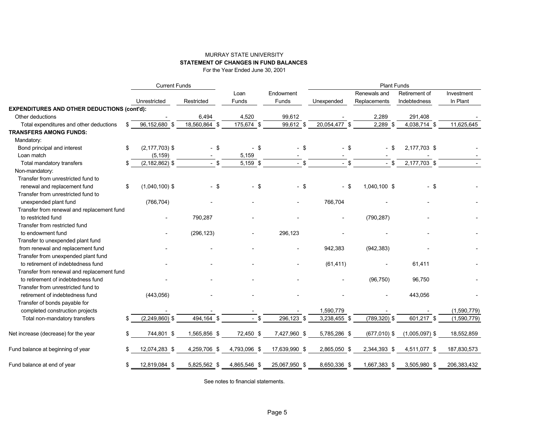#### MURRAY STATE UNIVERSITY **STATEMENT OF CHANGES IN FUND BALANCES**

For the Year Ended June 30, 2001

|                                                    |    | <b>Current Funds</b> |               |               |                    | <b>Plant Funds</b> |                              |                               |                        |  |  |
|----------------------------------------------------|----|----------------------|---------------|---------------|--------------------|--------------------|------------------------------|-------------------------------|------------------------|--|--|
|                                                    |    | Unrestricted         | Restricted    | Loan<br>Funds | Endowment<br>Funds | Unexpended         | Renewals and<br>Replacements | Retirement of<br>Indebtedness | Investment<br>In Plant |  |  |
| <b>EXPENDITURES AND OTHER DEDUCTIONS (cont'd):</b> |    |                      |               |               |                    |                    |                              |                               |                        |  |  |
| Other deductions                                   |    |                      | 6,494         | 4,520         | 99,612             |                    | 2,289                        | 291,408                       |                        |  |  |
| Total expenditures and other deductions            |    | 96,152,680 \$        | 18,560,864 \$ | 175,674 \$    | 99,612 \$          | 20,054,477 \$      | $2,289$ \$                   | 4,038,714 \$                  | 11,625,645             |  |  |
| <b>TRANSFERS AMONG FUNDS:</b>                      |    |                      |               |               |                    |                    |                              |                               |                        |  |  |
| Mandatory:                                         |    |                      |               |               |                    |                    |                              |                               |                        |  |  |
| Bond principal and interest                        | \$ | $(2, 177, 703)$ \$   | $-$ \$        | $-$ \$        | $-$ \$             | $-$ \$             | - \$                         | 2,177,703 \$                  |                        |  |  |
| Loan match                                         |    | (5, 159)             |               | 5,159         |                    |                    |                              |                               |                        |  |  |
| Total mandatory transfers                          | S  | $(2, 182, 862)$ \$   | $-$ \$        | 5,159 \$      | $-$ \$             | $-$ \$             | $-$ \$                       | 2,177,703 \$                  |                        |  |  |
| Non-mandatory:                                     |    |                      |               |               |                    |                    |                              |                               |                        |  |  |
| Transfer from unrestricted fund to                 |    |                      |               |               |                    |                    |                              |                               |                        |  |  |
| renewal and replacement fund                       | \$ | $(1,040,100)$ \$     | $-$ \$        | $-$ \$        | $-$ \$             | - \$               | 1,040,100 \$                 | $-$ \$                        |                        |  |  |
| Transfer from unrestricted fund to                 |    |                      |               |               |                    |                    |                              |                               |                        |  |  |
| unexpended plant fund                              |    | (766, 704)           |               |               |                    | 766,704            |                              |                               |                        |  |  |
| Transfer from renewal and replacement fund         |    |                      |               |               |                    |                    |                              |                               |                        |  |  |
| to restricted fund                                 |    |                      | 790,287       |               |                    |                    | (790, 287)                   |                               |                        |  |  |
| Transfer from restricted fund                      |    |                      |               |               |                    |                    |                              |                               |                        |  |  |
| to endowment fund                                  |    |                      | (296, 123)    |               | 296,123            |                    |                              |                               |                        |  |  |
| Transfer to unexpended plant fund                  |    |                      |               |               |                    |                    |                              |                               |                        |  |  |
| from renewal and replacement fund                  |    |                      |               |               |                    | 942,383            | (942, 383)                   |                               |                        |  |  |
| Transfer from unexpended plant fund                |    |                      |               |               |                    |                    |                              |                               |                        |  |  |
| to retirement of indebtedness fund                 |    |                      |               |               |                    | (61, 411)          |                              | 61,411                        |                        |  |  |
| Transfer from renewal and replacement fund         |    |                      |               |               |                    |                    |                              |                               |                        |  |  |
| to retirement of indebtedness fund                 |    |                      |               |               |                    |                    | (96, 750)                    | 96,750                        |                        |  |  |
| Transfer from unrestricted fund to                 |    |                      |               |               |                    |                    |                              |                               |                        |  |  |
| retirement of indebtedness fund                    |    | (443, 056)           |               |               |                    |                    |                              | 443,056                       |                        |  |  |
| Transfer of bonds payable for                      |    |                      |               |               |                    |                    |                              |                               |                        |  |  |
| completed construction projects                    |    |                      |               |               |                    | 1,590,779          |                              |                               | (1,590,779)            |  |  |
| Total non-mandatory transfers                      | \$ | $(2,249,860)$ \$     | 494,164 \$    | \$            | 296,123 \$         | 3,238,455 \$       | $(789, 320)$ \$              | 601,217 \$                    | (1,590,779)            |  |  |
| Net increase (decrease) for the year               | \$ | 744,801 \$           | 1,565,856 \$  | 72,450 \$     | 7,427,960 \$       | 5,785,286 \$       | $(677,010)$ \$               | $(1,005,097)$ \$              | 18,552,859             |  |  |
| Fund balance at beginning of year                  | \$ | 12,074,283 \$        | 4,259,706 \$  | 4,793,096 \$  | 17,639,990 \$      | 2,865,050 \$       | 2,344,393 \$                 | 4,511,077 \$                  | 187,830,573            |  |  |
| Fund balance at end of year                        | \$ | 12,819,084 \$        | 5,825,562 \$  | 4,865,546 \$  | 25,067,950 \$      | 8,650,336 \$       | 1,667,383 \$                 | 3,505,980 \$                  | 206,383,432            |  |  |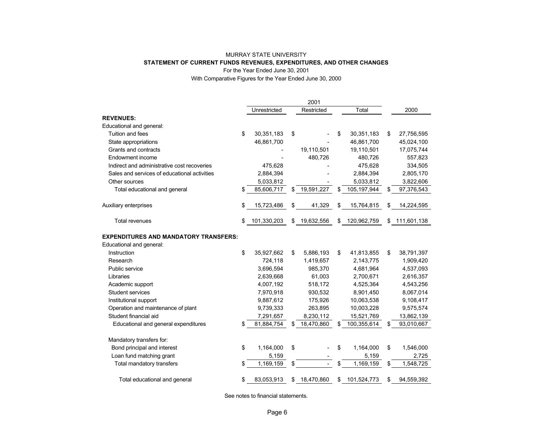#### MURRAY STATE UNIVERSITY **STATEMENT OF CURRENT FUNDS REVENUES, EXPENDITURES, AND OTHER CHANGES** For the Year Ended June 30, 2001

With Comparative Figures for the Year Ended June 30, 2000

|                                              |                   | 2001             |                     |                   |
|----------------------------------------------|-------------------|------------------|---------------------|-------------------|
|                                              | Unrestricted      | Restricted       | Total               | 2000              |
| <b>REVENUES:</b>                             |                   |                  |                     |                   |
| Educational and general:                     |                   |                  |                     |                   |
| Tuition and fees                             | \$<br>30,351,183  | \$               | \$<br>30,351,183    | \$<br>27,756,595  |
| State appropriations                         | 46,861,700        |                  | 46,861,700          | 45,024,100        |
| Grants and contracts                         |                   | 19,110,501       | 19,110,501          | 17,075,744        |
| Endowment income                             |                   | 480,726          | 480,726             | 557,823           |
| Indirect and administrative cost recoveries  | 475,628           |                  | 475,628             | 334,505           |
| Sales and services of educational activities | 2,884,394         |                  | 2,884,394           | 2,805,170         |
| Other sources                                | 5,033,812         |                  | 5,033,812           | 3,822,606         |
| Total educational and general                | 85,606,717        | \$<br>19,591,227 | \$<br>105, 197, 944 | \$<br>97,376,543  |
| Auxiliary enterprises                        | \$<br>15,723,486  | \$<br>41,329     | \$<br>15,764,815    | 14,224,595        |
| <b>Total revenues</b>                        | \$<br>101,330,203 | \$<br>19,632,556 | \$<br>120,962,759   | \$<br>111,601,138 |
| <b>EXPENDITURES AND MANDATORY TRANSFERS:</b> |                   |                  |                     |                   |
| Educational and general:                     |                   |                  |                     |                   |
| Instruction                                  | \$<br>35,927,662  | \$<br>5,886,193  | \$<br>41,813,855    | \$<br>38,791,397  |
| Research                                     | 724,118           | 1,419,657        | 2,143,775           | 1,909,420         |
| Public service                               | 3,696,594         | 985,370          | 4,681,964           | 4,537,093         |
| Libraries                                    | 2,639,668         | 61,003           | 2,700,671           | 2,616,357         |
| Academic support                             | 4,007,192         | 518,172          | 4,525,364           | 4,543,256         |
| Student services                             | 7,970,918         | 930,532          | 8,901,450           | 8,067,014         |
| Institutional support                        | 9,887,612         | 175,926          | 10,063,538          | 9,108,417         |
| Operation and maintenance of plant           | 9,739,333         | 263,895          | 10,003,228          | 9,575,574         |
| Student financial aid                        | 7,291,657         | 8,230,112        | 15,521,769          | 13,862,139        |
| Educational and general expenditures         | 81,884,754        | \$<br>18,470,860 | 100,355,614         | \$<br>93,010,667  |
| Mandatory transfers for:                     |                   |                  |                     |                   |
| Bond principal and interest                  | \$<br>1,164,000   | \$               | \$<br>1,164,000     | \$<br>1,546,000   |
| Loan fund matching grant                     | 5,159             |                  | 5,159               | 2,725             |
| Total mandatory transfers                    | \$<br>1,169,159   | \$<br>$\equiv$   | \$<br>1,169,159     | \$<br>1,548,725   |
| Total educational and general                | \$<br>83,053,913  | \$<br>18,470,860 | \$<br>101,524,773   | \$<br>94,559,392  |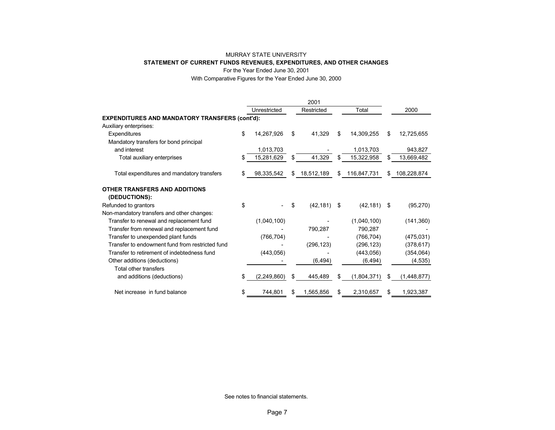#### MURRAY STATE UNIVERSITY **STATEMENT OF CURRENT FUNDS REVENUES, EXPENDITURES, AND OTHER CHANGES** For the Year Ended June 30, 2001

With Comparative Figures for the Year Ended June 30, 2000

|                                                       |    |              |    | 2001       |     |             |                   |
|-------------------------------------------------------|----|--------------|----|------------|-----|-------------|-------------------|
|                                                       |    | Unrestricted |    | Restricted |     | Total       | 2000              |
| <b>EXPENDITURES AND MANDATORY TRANSFERS (cont'd):</b> |    |              |    |            |     |             |                   |
| Auxiliary enterprises:                                |    |              |    |            |     |             |                   |
| Expenditures                                          | \$ | 14,267,926   | \$ | 41,329     | \$  | 14,309,255  | \$<br>12,725,655  |
| Mandatory transfers for bond principal                |    |              |    |            |     |             |                   |
| and interest                                          |    | 1,013,703    |    |            |     | 1,013,703   | 943,827           |
| Total auxiliary enterprises                           | S  | 15,281,629   | \$ | 41,329     | \$. | 15,322,958  | \$<br>13,669,482  |
| Total expenditures and mandatory transfers            | S  | 98,335,542   | \$ | 18,512,189 | \$  | 116,847,731 | \$<br>108,228,874 |
| OTHER TRANSFERS AND ADDITIONS<br>(DEDUCTIONS):        |    |              |    |            |     |             |                   |
| Refunded to grantors                                  | \$ |              | \$ | (42, 181)  | \$  | (42, 181)   | \$<br>(95, 270)   |
| Non-mandatory transfers and other changes:            |    |              |    |            |     |             |                   |
| Transfer to renewal and replacement fund              |    | (1,040,100)  |    |            |     | (1,040,100) | (141, 360)        |
| Transfer from renewal and replacement fund            |    |              |    | 790,287    |     | 790.287     |                   |
| Transfer to unexpended plant funds                    |    | (766, 704)   |    |            |     | (766, 704)  | (475, 031)        |
| Transfer to endowment fund from restricted fund       |    |              |    | (296, 123) |     | (296, 123)  | (378, 617)        |
| Transfer to retirement of indebtedness fund           |    | (443, 056)   |    |            |     | (443, 056)  | (354, 064)        |
| Other additions (deductions)                          |    |              |    | (6, 494)   |     | (6, 494)    | (4, 535)          |
| Total other transfers                                 |    |              |    |            |     |             |                   |
| and additions (deductions)                            | S  | (2,249,860)  | \$ | 445,489    | \$  | (1,804,371) | (1,448,877)       |
| Net increase in fund balance                          | \$ | 744,801      | S. | 1,565,856  | \$  | 2,310,657   | \$<br>1,923,387   |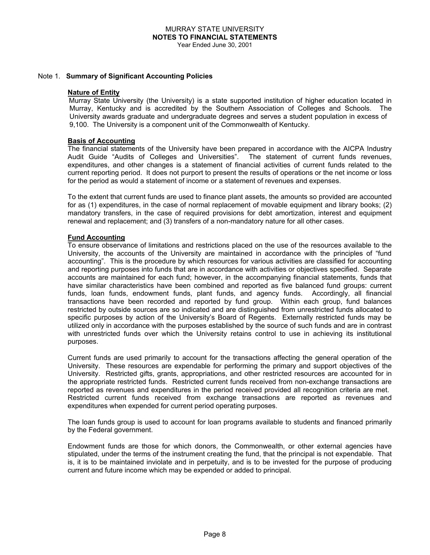#### Note 1. **Summary of Significant Accounting Policies**

#### **Nature of Entity**

 Murray State University (the University) is a state supported institution of higher education located in Murray, Kentucky and is accredited by the Southern Association of Colleges and Schools. The University awards graduate and undergraduate degrees and serves a student population in excess of 9,100. The University is a component unit of the Commonwealth of Kentucky.

#### **Basis of Accounting**

The financial statements of the University have been prepared in accordance with the AICPA Industry Audit Guide "Audits of Colleges and Universities". The statement of current funds revenues, expenditures, and other changes is a statement of financial activities of current funds related to the current reporting period. It does not purport to present the results of operations or the net income or loss for the period as would a statement of income or a statement of revenues and expenses.

To the extent that current funds are used to finance plant assets, the amounts so provided are accounted for as (1) expenditures, in the case of normal replacement of movable equipment and library books; (2) mandatory transfers, in the case of required provisions for debt amortization, interest and equipment renewal and replacement; and (3) transfers of a non-mandatory nature for all other cases.

#### **Fund Accounting**

To ensure observance of limitations and restrictions placed on the use of the resources available to the University, the accounts of the University are maintained in accordance with the principles of "fund accounting". This is the procedure by which resources for various activities are classified for accounting and reporting purposes into funds that are in accordance with activities or objectives specified. Separate accounts are maintained for each fund; however, in the accompanying financial statements, funds that have similar characteristics have been combined and reported as five balanced fund groups: current funds, loan funds, endowment funds, plant funds, and agency funds. Accordingly, all financial transactions have been recorded and reported by fund group. Within each group, fund balances restricted by outside sources are so indicated and are distinguished from unrestricted funds allocated to specific purposes by action of the University's Board of Regents. Externally restricted funds may be utilized only in accordance with the purposes established by the source of such funds and are in contrast with unrestricted funds over which the University retains control to use in achieving its institutional purposes.

Current funds are used primarily to account for the transactions affecting the general operation of the University. These resources are expendable for performing the primary and support objectives of the University. Restricted gifts, grants, appropriations, and other restricted resources are accounted for in the appropriate restricted funds. Restricted current funds received from non-exchange transactions are reported as revenues and expenditures in the period received provided all recognition criteria are met. Restricted current funds received from exchange transactions are reported as revenues and expenditures when expended for current period operating purposes.

The loan funds group is used to account for loan programs available to students and financed primarily by the Federal government.

Endowment funds are those for which donors, the Commonwealth, or other external agencies have stipulated, under the terms of the instrument creating the fund, that the principal is not expendable. That is, it is to be maintained inviolate and in perpetuity, and is to be invested for the purpose of producing current and future income which may be expended or added to principal.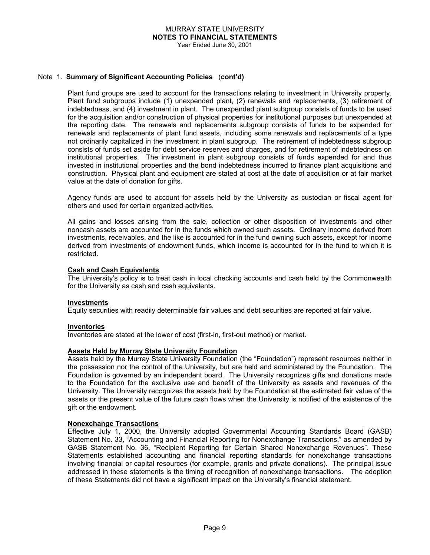#### MURRAY STATE UNIVERSITY **NOTES TO FINANCIAL STATEMENTS** Year Ended June 30, 2001

#### Note 1. **Summary of Significant Accounting Policies** (**cont'd)**

Plant fund groups are used to account for the transactions relating to investment in University property. Plant fund subgroups include (1) unexpended plant, (2) renewals and replacements, (3) retirement of indebtedness, and (4) investment in plant. The unexpended plant subgroup consists of funds to be used for the acquisition and/or construction of physical properties for institutional purposes but unexpended at the reporting date. The renewals and replacements subgroup consists of funds to be expended for renewals and replacements of plant fund assets, including some renewals and replacements of a type not ordinarily capitalized in the investment in plant subgroup. The retirement of indebtedness subgroup consists of funds set aside for debt service reserves and charges, and for retirement of indebtedness on institutional properties. The investment in plant subgroup consists of funds expended for and thus invested in institutional properties and the bond indebtedness incurred to finance plant acquisitions and construction. Physical plant and equipment are stated at cost at the date of acquisition or at fair market value at the date of donation for gifts.

Agency funds are used to account for assets held by the University as custodian or fiscal agent for others and used for certain organized activities.

All gains and losses arising from the sale, collection or other disposition of investments and other noncash assets are accounted for in the funds which owned such assets. Ordinary income derived from investments, receivables, and the like is accounted for in the fund owning such assets, except for income derived from investments of endowment funds, which income is accounted for in the fund to which it is restricted.

#### **Cash and Cash Equivalents**

The University's policy is to treat cash in local checking accounts and cash held by the Commonwealth for the University as cash and cash equivalents.

#### **Investments**

Equity securities with readily determinable fair values and debt securities are reported at fair value.

#### **Inventories**

Inventories are stated at the lower of cost (first-in, first-out method) or market.

#### **Assets Held by Murray State University Foundation**

Assets held by the Murray State University Foundation (the "Foundation") represent resources neither in the possession nor the control of the University, but are held and administered by the Foundation. The Foundation is governed by an independent board. The University recognizes gifts and donations made to the Foundation for the exclusive use and benefit of the University as assets and revenues of the University. The University recognizes the assets held by the Foundation at the estimated fair value of the assets or the present value of the future cash flows when the University is notified of the existence of the gift or the endowment.

#### **Nonexchange Transactions**

Effective July 1, 2000, the University adopted Governmental Accounting Standards Board (GASB) Statement No. 33, "Accounting and Financial Reporting for Nonexchange Transactions." as amended by GASB Statement No. 36, "Recipient Reporting for Certain Shared Nonexchange Revenues". These Statements established accounting and financial reporting standards for nonexchange transactions involving financial or capital resources (for example, grants and private donations). The principal issue addressed in these statements is the timing of recognition of nonexchange transactions. The adoption of these Statements did not have a significant impact on the University's financial statement.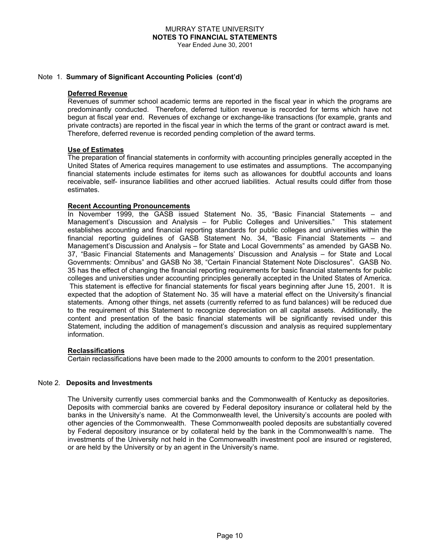#### Note 1. **Summary of Significant Accounting Policies (cont'd)**

#### **Deferred Revenue**

Revenues of summer school academic terms are reported in the fiscal year in which the programs are predominantly conducted. Therefore, deferred tuition revenue is recorded for terms which have not begun at fiscal year end. Revenues of exchange or exchange-like transactions (for example, grants and private contracts) are reported in the fiscal year in which the terms of the grant or contract award is met. Therefore, deferred revenue is recorded pending completion of the award terms.

#### **Use of Estimates**

The preparation of financial statements in conformity with accounting principles generally accepted in the United States of America requires management to use estimates and assumptions. The accompanying financial statements include estimates for items such as allowances for doubtful accounts and loans receivable, self- insurance liabilities and other accrued liabilities. Actual results could differ from those estimates.

#### **Recent Accounting Pronouncements**

In November 1999, the GASB issued Statement No. 35, "Basic Financial Statements – and Management's Discussion and Analysis – for Public Colleges and Universities." This statement establishes accounting and financial reporting standards for public colleges and universities within the financial reporting guidelines of GASB Statement No. 34, "Basic Financial Statements – and Management's Discussion and Analysis – for State and Local Governments" as amended by GASB No. 37, "Basic Financial Statements and Managements' Discussion and Analysis – for State and Local Governments: Omnibus" and GASB No 38, "Certain Financial Statement Note Disclosures". GASB No. 35 has the effect of changing the financial reporting requirements for basic financial statements for public colleges and universities under accounting principles generally accepted in the United States of America. This statement is effective for financial statements for fiscal years beginning after June 15, 2001. It is expected that the adoption of Statement No. 35 will have a material effect on the University's financial statements. Among other things, net assets (currently referred to as fund balances) will be reduced due to the requirement of this Statement to recognize depreciation on all capital assets. Additionally, the content and presentation of the basic financial statements will be significantly revised under this Statement, including the addition of management's discussion and analysis as required supplementary information.

#### **Reclassifications**

Certain reclassifications have been made to the 2000 amounts to conform to the 2001 presentation.

#### Note 2. **Deposits and Investments**

The University currently uses commercial banks and the Commonwealth of Kentucky as depositories. Deposits with commercial banks are covered by Federal depository insurance or collateral held by the banks in the University's name. At the Commonwealth level, the University's accounts are pooled with other agencies of the Commonwealth. These Commonwealth pooled deposits are substantially covered by Federal depository insurance or by collateral held by the bank in the Commonwealth's name. The investments of the University not held in the Commonwealth investment pool are insured or registered, or are held by the University or by an agent in the University's name.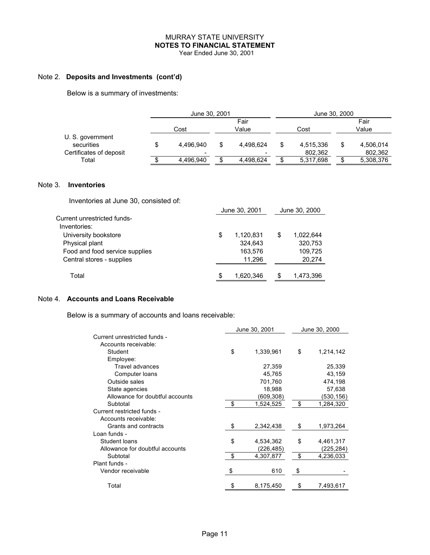## MURRAY STATE UNIVERSITY **NOTES TO FINANCIAL STATEMENT**

Year Ended June 30, 2001

#### Note 2. **Deposits and Investments (cont'd)**

Below is a summary of investments:

|                                | June 30, 2001 |    |               |  | June 30, 2000 |               |           |  |  |
|--------------------------------|---------------|----|---------------|--|---------------|---------------|-----------|--|--|
|                                | Cost          |    | Fair<br>Value |  | Cost          | Fair<br>Value |           |  |  |
| U. S. government<br>securities | 4.496.940     | \$ | 4,498,624     |  | 4,515,336     |               | 4,506,014 |  |  |
| Certificates of deposit        |               |    |               |  | 802,362       |               | 802,362   |  |  |
| Total                          | 4,496,940     |    | 4,498,624     |  | 5,317,698     |               | 5,308,376 |  |  |

#### Note 3. **Inventories**

Inventories at June 30, consisted of:

|                                | June 30, 2001   |   | June 30, 2000 |
|--------------------------------|-----------------|---|---------------|
| Current unrestricted funds-    |                 |   |               |
| Inventories:                   |                 |   |               |
| University bookstore           | \$<br>1,120,831 | S | 1,022,644     |
| Physical plant                 | 324.643         |   | 320,753       |
| Food and food service supplies | 163,576         |   | 109,725       |
| Central stores - supplies      | 11.296          |   | 20,274        |
| Total                          | 1,620,346       |   | 1,473,396     |

#### Note 4. **Accounts and Loans Receivable**

Below is a summary of accounts and loans receivable:

|                                 | June 30, 2001   | June 30, 2000 |            |  |
|---------------------------------|-----------------|---------------|------------|--|
| Current unrestricted funds -    |                 |               |            |  |
| Accounts receivable:            |                 |               |            |  |
| Student                         | \$<br>1,339,961 | \$            | 1,214,142  |  |
| Employee:                       |                 |               |            |  |
| <b>Travel advances</b>          | 27,359          |               | 25,339     |  |
| Computer loans                  | 45,765          |               | 43,159     |  |
| Outside sales                   | 701,760         |               | 474,198    |  |
| State agencies                  | 18,988          |               | 57,638     |  |
| Allowance for doubtful accounts | (609, 308)      |               | (530,156)  |  |
| Subtotal                        | \$<br>1,524,525 | \$            | 1,284,320  |  |
| Current restricted funds -      |                 |               |            |  |
| Accounts receivable:            |                 |               |            |  |
| Grants and contracts            | \$<br>2,342,438 | \$            | 1,973,264  |  |
| Loan funds -                    |                 |               |            |  |
| Student loans                   | \$<br>4,534,362 | \$            | 4,461,317  |  |
| Allowance for doubtful accounts | (226,485)       |               | (225, 284) |  |
| Subtotal                        | \$<br>4,307,877 | \$            | 4,236,033  |  |
| Plant funds -                   |                 |               |            |  |
| Vendor receivable               | \$<br>610       | \$            |            |  |
| Total                           | \$<br>8,175,450 | \$            | 7,493,617  |  |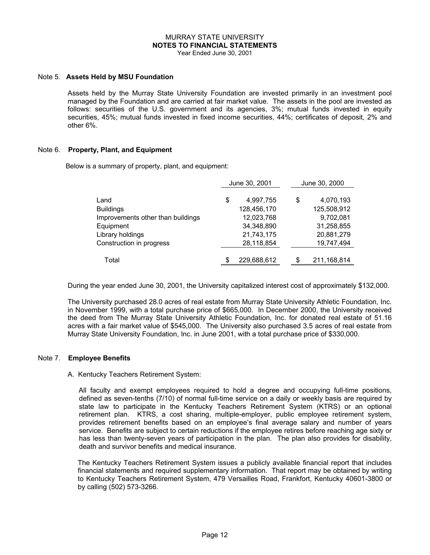# MURRAY STATE UNIVERSITY **NOTES TO FINANCIAL STATEMENTS**

Year Ended June 30, 2001

#### Note 5. **Assets Held by MSU Foundation**

Assets held by the Murray State University Foundation are invested primarily in an investment pool managed by the Foundation and are carried at fair market value. The assets in the pool are invested as follows: securities of the U.S. government and its agencies, 3%; mutual funds invested in equity securities, 45%; mutual funds invested in fixed income securities, 44%; certificates of deposit, 2% and other 6%.

#### Note 6. **Property, Plant, and Equipment**

Below is a summary of property, plant, and equipment:

|                                   |    | June 30, 2001 |    | June 30, 2000 |
|-----------------------------------|----|---------------|----|---------------|
| Land                              | \$ | 4,997,755     | \$ | 4,070,193     |
| <b>Buildings</b>                  |    | 128,456,170   |    | 125,508,912   |
| Improvements other than buildings |    | 12,023,768    |    | 9,702,081     |
| Equipment                         |    | 34,348,890    |    | 31,258,855    |
| Library holdings                  |    | 21,743,175    |    | 20,881,279    |
| Construction in progress          |    | 28,118,854    |    | 19,747,494    |
|                                   |    |               |    |               |
| Total                             | S  | 229,688,612   | \$ | 211, 168, 814 |

During the year ended June 30, 2001, the University capitalized interest cost of approximately \$132,000.

The University purchased 28.0 acres of real estate from Murray State University Athletic Foundation, Inc. in November 1999, with a total purchase price of \$665,000. In December 2000, the University received the deed from The Murray State University Athletic Foundation, Inc. for donated real estate of 51.16 acres with a fair market value of \$545,000. The University also purchased 3.5 acres of real estate from Murray State University Foundation, Inc. in June 2001, with a total purchase price of \$330,000.

#### Note 7. **Employee Benefits**

#### A. Kentucky Teachers Retirement System:

 All faculty and exempt employees required to hold a degree and occupying full-time positions, defined as seven-tenths (7/10) of normal full-time service on a daily or weekly basis are required by state law to participate in the Kentucky Teachers Retirement System (KTRS) or an optional retirement plan. KTRS, a cost sharing, multiple-employer, public employee retirement system, provides retirement benefits based on an employee's final average salary and number of years service. Benefits are subject to certain reductions if the employee retires before reaching age sixty or has less than twenty-seven years of participation in the plan. The plan also provides for disability, death and survivor benefits and medical insurance.

The Kentucky Teachers Retirement System issues a publicly available financial report that includes financial statements and required supplementary information. That report may be obtained by writing to Kentucky Teachers Retirement System, 479 Versailles Road, Frankfort, Kentucky 40601-3800 or by calling (502) 573-3266.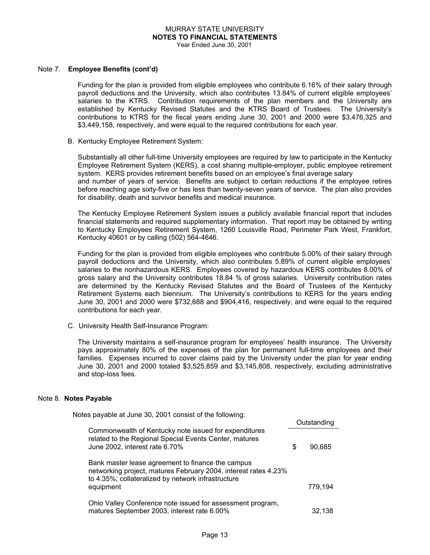# MURRAY STATE UNIVERSITY **NOTES TO FINANCIAL STATEMENTS**

Year Ended June 30, 2001

#### Note 7. **Employee Benefits (cont'd)**

Funding for the plan is provided from eligible employees who contribute 6.16% of their salary through payroll deductions and the University, which also contributes 13.84% of current eligible employees' salaries to the KTRS. Contribution requirements of the plan members and the University are established by Kentucky Revised Statutes and the KTRS Board of Trustees. The University's contributions to KTRS for the fiscal years ending June 30, 2001 and 2000 were \$3,476,325 and \$3,449,158, respectively, and were equal to the required contributions for each year.

#### B. Kentucky Employee Retirement System:

Substantially all other full-time University employees are required by law to participate in the Kentucky Employee Retirement System (KERS), a cost sharing multiple-employer, public employee retirement system. KERS provides retirement benefits based on an employee's final average salary and number of years of service. Benefits are subject to certain reductions if the employee retires before reaching age sixty-five or has less than twenty-seven years of service. The plan also provides for disability, death and survivor benefits and medical insurance.

The Kentucky Employee Retirement System issues a publicly available financial report that includes financial statements and required supplementary information. That report may be obtained by writing to Kentucky Employees Retirement System, 1260 Louisville Road, Perimeter Park West, Frankfort, Kentucky 40601 or by calling (502) 564-4646.

Funding for the plan is provided from eligible employees who contribute 5.00% of their salary through payroll deductions and the University, which also contributes 5.89% of current eligible employees' salaries to the nonhazardous KERS. Employees covered by hazardous KERS contributes 8.00% of gross salary and the University contributes 18.84 % of gross salaries. University contribution rates are determined by the Kentucky Revised Statutes and the Board of Trustees of the Kentucky Retirement Systems each biennium. The University's contributions to KERS for the years ending June 30, 2001 and 2000 were \$732,688 and \$904,416, respectively, and were equal to the required contributions for each year.

C. University Health Self-Insurance Program:

The University maintains a self-insurance program for employees' health insurance. The University pays approximately 80% of the expenses of the plan for permanent full-time employees and their families. Expenses incurred to cover claims paid by the University under the plan for year ending June 30, 2001 and 2000 totaled \$3,525,859 and \$3,145,808, respectively, excluding administrative and stop-loss fees.

#### Note 8. **Notes Payable**

| Notes payable at June 30, 2001 consist of the following:                                                                                                                   |   |             |
|----------------------------------------------------------------------------------------------------------------------------------------------------------------------------|---|-------------|
|                                                                                                                                                                            |   | Outstanding |
| Commonwealth of Kentucky note issued for expenditures<br>related to the Regional Special Events Center, matures<br>June 2002, interest rate 6.70%                          | S | 90.685      |
| Bank master lease agreement to finance the campus<br>networking project, matures February 2004, interest rates 4.23%<br>to 4.35%; collateralized by network infrastructure |   |             |
| equipment                                                                                                                                                                  |   | 779,194     |
| Ohio Valley Conference note issued for assessment program,<br>matures September 2003, interest rate 6.00%                                                                  |   | 32.138      |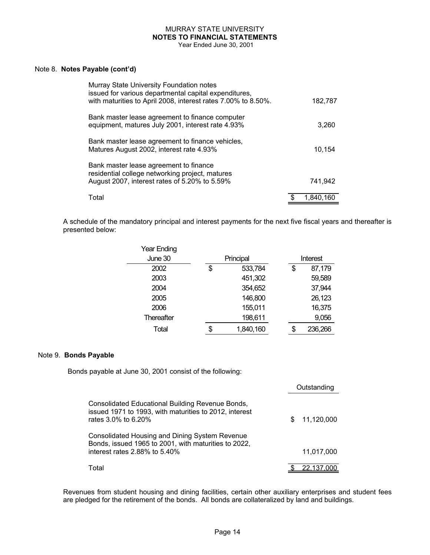# MURRAY STATE UNIVERSITY **NOTES TO FINANCIAL STATEMENTS**

Year Ended June 30, 2001

#### Note 8. **Notes Payable (cont'd)**

| Murray State University Foundation notes<br>issued for various departmental capital expenditures,<br>with maturities to April 2008, interest rates 7.00% to 8.50%. | 182,787   |
|--------------------------------------------------------------------------------------------------------------------------------------------------------------------|-----------|
| Bank master lease agreement to finance computer<br>equipment, matures July 2001, interest rate 4.93%                                                               | 3,260     |
| Bank master lease agreement to finance vehicles,<br>Matures August 2002, interest rate 4.93%                                                                       | 10.154    |
| Bank master lease agreement to finance<br>residential college networking project, matures<br>August 2007, interest rates of 5.20% to 5.59%                         | 741,942   |
| Total                                                                                                                                                              | 1.840.160 |

A schedule of the mandatory principal and interest payments for the next five fiscal years and thereafter is presented below:

| Year Ending       |                 |          |         |  |
|-------------------|-----------------|----------|---------|--|
| June 30           | Principal       | Interest |         |  |
| 2002              | \$<br>533,784   |          | 87,179  |  |
| 2003              | 451,302         |          | 59,589  |  |
| 2004              | 354,652         |          | 37,944  |  |
| 2005              | 146,800         |          | 26,123  |  |
| 2006              | 155,011         |          | 16,375  |  |
| <b>Thereafter</b> | 198,611         |          | 9,056   |  |
| Total             | \$<br>1,840,160 | \$       | 236,266 |  |

#### Note 9. **Bonds Payable**

Bonds payable at June 30, 2001 consist of the following:

|                                                                                                                                   | Outstanding |            |
|-----------------------------------------------------------------------------------------------------------------------------------|-------------|------------|
| Consolidated Educational Building Revenue Bonds,<br>issued 1971 to 1993, with maturities to 2012, interest<br>rates 3.0% to 6.20% | S           | 11,120,000 |
| Consolidated Housing and Dining System Revenue<br>Bonds, issued 1965 to 2001, with maturities to 2022,                            |             |            |
| interest rates 2.88% to 5.40%                                                                                                     |             | 11,017,000 |
| Total                                                                                                                             |             | 22,137,000 |

Revenues from student housing and dining facilities, certain other auxiliary enterprises and student fees are pledged for the retirement of the bonds. All bonds are collateralized by land and buildings.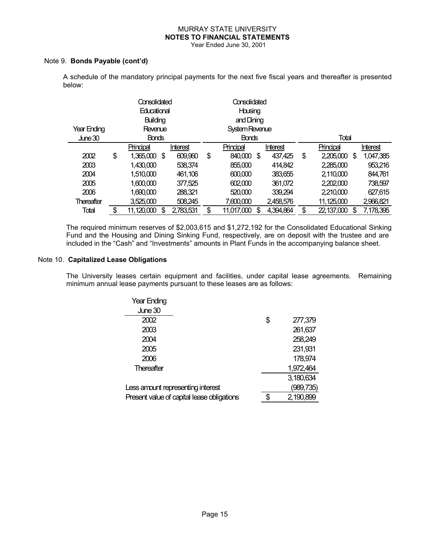# MURRAY STATE UNIVERSITY  **NOTES TO FINANCIAL STATEMENTS**

Year Ended June 30, 2001

#### Note 9. **Bonds Payable (cont'd)**

A schedule of the mandatory principal payments for the next five fiscal years and thereafter is presented below:

|                   | Consolidated<br><b>Educational</b> |              |    | Consolidated<br>Housing |                |            |    |           |                  |    |           |
|-------------------|------------------------------------|--------------|----|-------------------------|----------------|------------|----|-----------|------------------|----|-----------|
|                   | Building                           |              |    |                         | and Dining     |            |    |           |                  |    |           |
| Year Ending       | Revenue                            |              |    |                         | System Revenue |            |    |           |                  |    |           |
| June 30           |                                    | <b>Bonds</b> |    |                         | <b>Bonds</b>   |            |    | Total     |                  |    |           |
|                   |                                    | Principal    |    | Interest                |                | Principal  |    | Interest  | Principal        |    | Interest  |
| 2002              | \$                                 | 1,365,000    | \$ | 609,960                 | \$             | 840,000    | \$ | 437,425   | \$<br>2,205,000  | \$ | 1,047,385 |
| 2003              |                                    | 1,430,000    |    | 538,374                 |                | 855,000    |    | 414,842   | 2,285,000        |    | 953,216   |
| 2004              |                                    | 1,510,000    |    | 461,106                 |                | 600,000    |    | 383,655   | 2,110,000        |    | 844,761   |
| 2005              |                                    | 1,600,000    |    | 377,525                 |                | 602,000    |    | 361,072   | 2,202,000        |    | 738,597   |
| 2006              |                                    | 1,690,000    |    | 288,321                 |                | 520,000    |    | 339,294   | 2,210,000        |    | 627,615   |
| <b>Thereafter</b> |                                    | 3,525,000    |    | 508,245                 |                | 7,600,000  |    | 2,458,576 | 11,125,000       |    | 2,966,821 |
| Total             | \$                                 | 11,120,000   | \$ | 2,783,531               | \$             | 11,017,000 | \$ | 4,394,864 | \$<br>22,137,000 | \$ | 7,178,395 |

The required minimum reserves of \$2,003,615 and \$1,272,192 for the Consolidated Educational Sinking Fund and the Housing and Dining Sinking Fund, respectively, are on deposit with the trustee and are included in the "Cash" and "Investments" amounts in Plant Funds in the accompanying balance sheet.

#### Note 10. **Capitalized Lease Obligations**

The University leases certain equipment and facilities, under capital lease agreements. Remaining minimum annual lease payments pursuant to these leases are as follows:

| <b>Year Ending</b>                         |               |
|--------------------------------------------|---------------|
| June 30                                    |               |
| 2002                                       | \$<br>277,379 |
| 2003                                       | 261,637       |
| 2004                                       | 258,249       |
| 2005                                       | 231,931       |
| 2006                                       | 178,974       |
| Thereafter                                 | 1,972,464     |
|                                            | 3,180,634     |
| Less amount representing interest          | (989, 735)    |
| Present value of capital lease obligations | 2,190,899     |